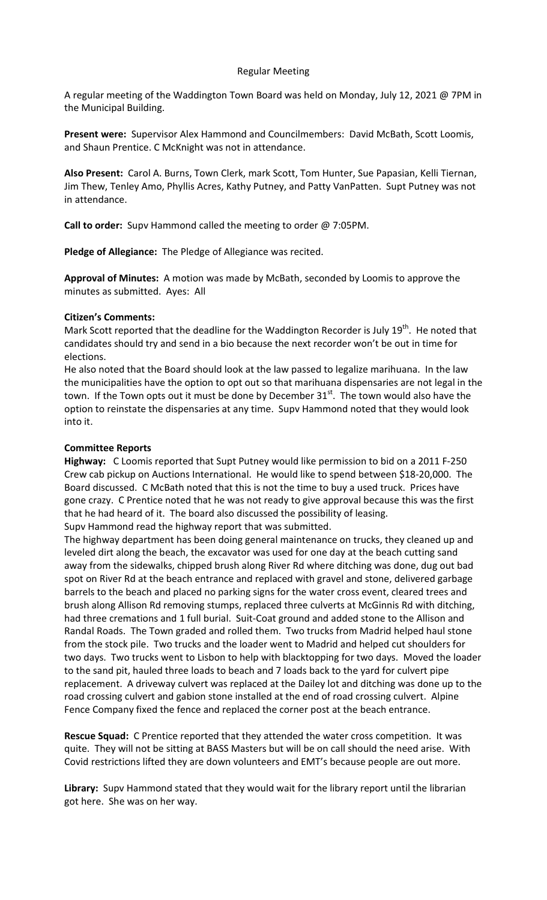# Regular Meeting

A regular meeting of the Waddington Town Board was held on Monday, July 12, 2021 @ 7PM in the Municipal Building.

**Present were:** Supervisor Alex Hammond and Councilmembers: David McBath, Scott Loomis, and Shaun Prentice. C McKnight was not in attendance.

**Also Present:** Carol A. Burns, Town Clerk, mark Scott, Tom Hunter, Sue Papasian, Kelli Tiernan, Jim Thew, Tenley Amo, Phyllis Acres, Kathy Putney, and Patty VanPatten. Supt Putney was not in attendance.

**Call to order:** Supv Hammond called the meeting to order @ 7:05PM.

**Pledge of Allegiance:** The Pledge of Allegiance was recited.

**Approval of Minutes:** A motion was made by McBath, seconded by Loomis to approve the minutes as submitted. Ayes: All

## **Citizen's Comments:**

Mark Scott reported that the deadline for the Waddington Recorder is July  $19<sup>th</sup>$ . He noted that candidates should try and send in a bio because the next recorder won't be out in time for elections.

He also noted that the Board should look at the law passed to legalize marihuana. In the law the municipalities have the option to opt out so that marihuana dispensaries are not legal in the town. If the Town opts out it must be done by December 31<sup>st</sup>. The town would also have the option to reinstate the dispensaries at any time. Supv Hammond noted that they would look into it.

## **Committee Reports**

**Highway:** C Loomis reported that Supt Putney would like permission to bid on a 2011 F-250 Crew cab pickup on Auctions International. He would like to spend between \$18-20,000. The Board discussed. C McBath noted that this is not the time to buy a used truck. Prices have gone crazy. C Prentice noted that he was not ready to give approval because this was the first that he had heard of it. The board also discussed the possibility of leasing. Supv Hammond read the highway report that was submitted.

The highway department has been doing general maintenance on trucks, they cleaned up and leveled dirt along the beach, the excavator was used for one day at the beach cutting sand away from the sidewalks, chipped brush along River Rd where ditching was done, dug out bad spot on River Rd at the beach entrance and replaced with gravel and stone, delivered garbage barrels to the beach and placed no parking signs for the water cross event, cleared trees and brush along Allison Rd removing stumps, replaced three culverts at McGinnis Rd with ditching, had three cremations and 1 full burial. Suit-Coat ground and added stone to the Allison and Randal Roads. The Town graded and rolled them. Two trucks from Madrid helped haul stone from the stock pile. Two trucks and the loader went to Madrid and helped cut shoulders for two days. Two trucks went to Lisbon to help with blacktopping for two days. Moved the loader to the sand pit, hauled three loads to beach and 7 loads back to the yard for culvert pipe replacement. A driveway culvert was replaced at the Dailey lot and ditching was done up to the road crossing culvert and gabion stone installed at the end of road crossing culvert. Alpine Fence Company fixed the fence and replaced the corner post at the beach entrance.

**Rescue Squad:** C Prentice reported that they attended the water cross competition. It was quite. They will not be sitting at BASS Masters but will be on call should the need arise. With Covid restrictions lifted they are down volunteers and EMT's because people are out more.

**Library:** Supv Hammond stated that they would wait for the library report until the librarian got here. She was on her way.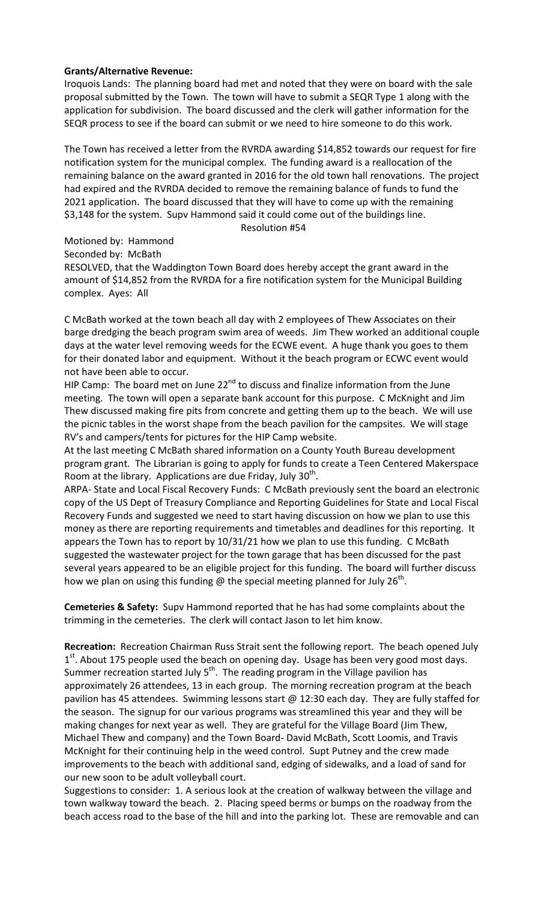# **Grants/Alternative Revenue:**

Iroquois Lands: The planning board had met and noted that they were on board with the sale proposal submitted by the Town. The town will have to submit a SEQR Type 1 along with the application for subdivision. The board discussed and the clerk will gather information for the SEQR process to see if the board can submit or we need to hire someone to do this work.

The Town has received a letter from the RVRDA awarding \$14,852 towards our request for fire notification system for the municipal complex. The funding award is a reallocation of the remaining balance on the award granted in 2016 for the old town hall renovations. The project had expired and the RVRDA decided to remove the remaining balance of funds to fund the 2021 application. The board discussed that they will have to come up with the remaining \$3,148 for the system. Supv Hammond said it could come out of the buildings line.

#### Resolution #54

Motioned by: Hammond

Seconded by: McBath

RESOLVED, that the Waddington Town Board does hereby accept the grant award in the amount of \$14,852 from the RVRDA for a fire notification system for the Municipal Building complex. Ayes: All

C McBath worked at the town beach all day with 2 employees of Thew Associates on their barge dredging the beach program swim area of weeds. Jim Thew worked an additional couple days at the water level removing weeds for the ECWE event. A huge thank you goes to them for their donated labor and equipment. Without it the beach program or ECWC event would not have been able to occur.

HIP Camp: The board met on June  $22^{nd}$  to discuss and finalize information from the June meeting. The town will open a separate bank account for this purpose. C McKnight and Jim Thew discussed making fire pits from concrete and getting them up to the beach. We will use the picnic tables in the worst shape from the beach pavilion for the campsites. We will stage RV's and campers/tents for pictures for the HIP Camp website.

At the last meeting C McBath shared information on a County Youth Bureau development program grant. The Librarian is going to apply for funds to create a Teen Centered Makerspace Room at the library. Applications are due Friday, July  $30<sup>th</sup>$ .

ARPA- State and Local Fiscal Recovery Funds: C McBath previously sent the board an electronic copy of the US Dept of Treasury Compliance and Reporting Guidelines for State and Local Fiscal Recovery Funds and suggested we need to start having discussion on how we plan to use this money as there are reporting requirements and timetables and deadlines for this reporting. It appears the Town has to report by 10/31/21 how we plan to use this funding. C McBath suggested the wastewater project for the town garage that has been discussed for the past several years appeared to be an eligible project for this funding. The board will further discuss how we plan on using this funding  $\omega$  the special meeting planned for July 26<sup>th</sup>.

**Cemeteries & Safety:** Supv Hammond reported that he has had some complaints about the trimming in the cemeteries. The clerk will contact Jason to let him know.

**Recreation:** Recreation Chairman Russ Strait sent the following report. The beach opened July  $1<sup>st</sup>$ . About 175 people used the beach on opening day. Usage has been very good most days. Summer recreation started July  $5<sup>th</sup>$ . The reading program in the Village pavilion has approximately 26 attendees, 13 in each group. The morning recreation program at the beach pavilion has 45 attendees. Swimming lessons start  $\omega$  12:30 each day. They are fully staffed for the season. The signup for our various programs was streamlined this year and they will be making changes for next year as well. They are grateful for the Village Board (Jim Thew, Michael Thew and company) and the Town Board- David McBath, Scott Loomis, and Travis McKnight for their continuing help in the weed control. Supt Putney and the crew made improvements to the beach with additional sand, edging of sidewalks, and a load of sand for our new soon to be adult volleyball court.

Suggestions to consider: 1. A serious look at the creation of walkway between the village and town walkway toward the beach. 2. Placing speed berms or bumps on the roadway from the beach access road to the base of the hill and into the parking lot. These are removable and can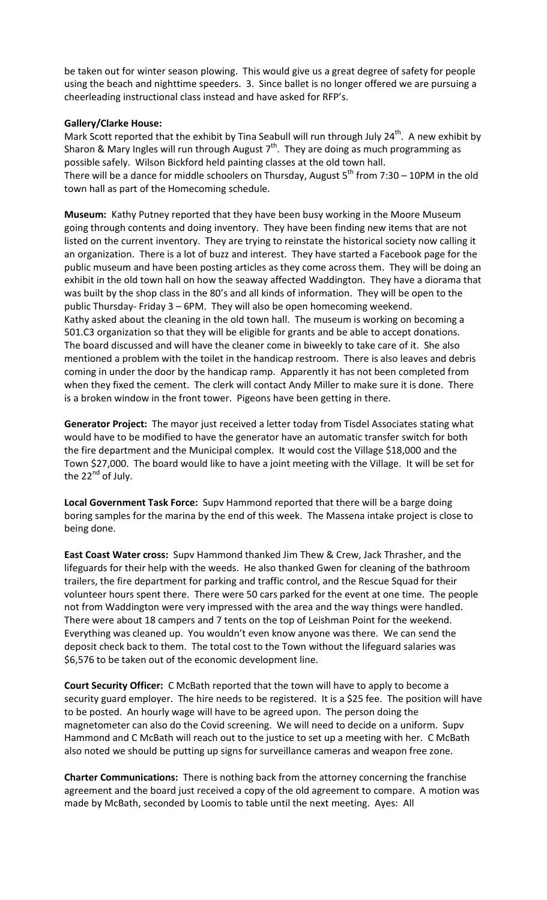be taken out for winter season plowing. This would give us a great degree of safety for people using the beach and nighttime speeders. 3. Since ballet is no longer offered we are pursuing a cheerleading instructional class instead and have asked for RFP's.

# **Gallery/Clarke House:**

Mark Scott reported that the exhibit by Tina Seabull will run through July  $24^{th}$ . A new exhibit by Sharon & Mary Ingles will run through August  $7<sup>th</sup>$ . They are doing as much programming as possible safely. Wilson Bickford held painting classes at the old town hall. There will be a dance for middle schoolers on Thursday, August  $5^{th}$  from 7:30 – 10PM in the old

town hall as part of the Homecoming schedule.

**Museum:** Kathy Putney reported that they have been busy working in the Moore Museum going through contents and doing inventory. They have been finding new items that are not listed on the current inventory. They are trying to reinstate the historical society now calling it an organization. There is a lot of buzz and interest. They have started a Facebook page for the public museum and have been posting articles as they come across them. They will be doing an exhibit in the old town hall on how the seaway affected Waddington. They have a diorama that was built by the shop class in the 80's and all kinds of information. They will be open to the public Thursday- Friday 3 – 6PM. They will also be open homecoming weekend. Kathy asked about the cleaning in the old town hall. The museum is working on becoming a 501.C3 organization so that they will be eligible for grants and be able to accept donations. The board discussed and will have the cleaner come in biweekly to take care of it. She also mentioned a problem with the toilet in the handicap restroom. There is also leaves and debris coming in under the door by the handicap ramp. Apparently it has not been completed from when they fixed the cement. The clerk will contact Andy Miller to make sure it is done. There is a broken window in the front tower. Pigeons have been getting in there.

**Generator Project:** The mayor just received a letter today from Tisdel Associates stating what would have to be modified to have the generator have an automatic transfer switch for both the fire department and the Municipal complex. It would cost the Village \$18,000 and the Town \$27,000. The board would like to have a joint meeting with the Village. It will be set for the  $22^{nd}$  of July.

**Local Government Task Force:** Supv Hammond reported that there will be a barge doing boring samples for the marina by the end of this week. The Massena intake project is close to being done.

**East Coast Water cross:** Supv Hammond thanked Jim Thew & Crew, Jack Thrasher, and the lifeguards for their help with the weeds. He also thanked Gwen for cleaning of the bathroom trailers, the fire department for parking and traffic control, and the Rescue Squad for their volunteer hours spent there. There were 50 cars parked for the event at one time. The people not from Waddington were very impressed with the area and the way things were handled. There were about 18 campers and 7 tents on the top of Leishman Point for the weekend. Everything was cleaned up. You wouldn't even know anyone was there. We can send the deposit check back to them. The total cost to the Town without the lifeguard salaries was \$6,576 to be taken out of the economic development line.

**Court Security Officer:** C McBath reported that the town will have to apply to become a security guard employer. The hire needs to be registered. It is a \$25 fee. The position will have to be posted. An hourly wage will have to be agreed upon. The person doing the magnetometer can also do the Covid screening. We will need to decide on a uniform. Supv Hammond and C McBath will reach out to the justice to set up a meeting with her. C McBath also noted we should be putting up signs for surveillance cameras and weapon free zone.

**Charter Communications:** There is nothing back from the attorney concerning the franchise agreement and the board just received a copy of the old agreement to compare. A motion was made by McBath, seconded by Loomis to table until the next meeting. Ayes: All